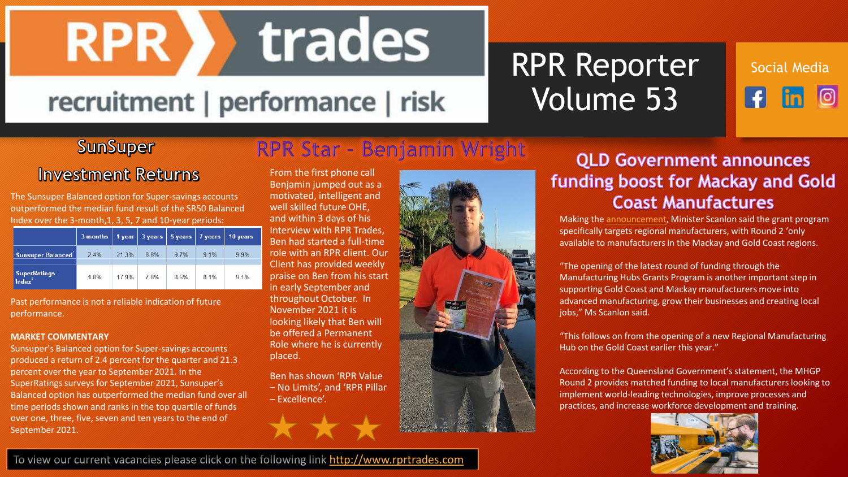trades **RPR** 

## recruitment | performance | risk

# RPR Reporter Volume 53

Social Mediaര

#### **SunSuper**

## RPR Star - Benjamin Wright

### **Investment Returns**

The Sunsuper Balanced option for Super-savings accounts outperformed the median fund result of the SR50 Balanced Index over the 3-month,1, 3, 5, 7 and 10-year periods:

|                                           | $3$ months $ $ |       | $1$ year $ 3$ years $ $ | 5 years 7 years |      | 10 years |
|-------------------------------------------|----------------|-------|-------------------------|-----------------|------|----------|
| <b>Sunsuper Balanced</b>                  | 2.4%           | 21.3% | 8.8%                    | 9.7%            | 9.1% | 9.9%     |
| <b>SuperRatings</b><br>Index <sup>2</sup> | 1.8%           | 17.9% | 7.8%                    | 8.5%            | 8.1% | 9.1%     |

Past performance is not a reliable indication of future performance.

#### **MARKET COMMENTARY**

Sunsuper's Balanced option for Super-savings accounts produced a return of 2.4 percent for the quarter and 21.3 percent over the year to September 2021. In the SuperRatings surveys for September 2021, Sunsuper's Balanced option has outperformed the median fund over all time periods shown and ranks in the top quartile of funds over one, three, five, seven and ten years to the end of September 2021.

From the first phone call Benjamin jumped out as a motivated, intelligent and well skilled future OHE, and within 3 days of his Interview with RPR Trades, Ben had started a full-time role with an RPR client. Our Client has provided weekly praise on Ben from his start in early September and throughout October. In November 2021 it is looking likely that Ben will be offered a Permanent Role where he is currently placed.

Ben has shown 'RPR Value – No Limits', and 'RPR Pillar

– Excellence'.



### **QLD Government announces** funding boost for Mackay and Gold **Coast Manufactures**

Making the [announcement,](https://statements.qld.gov.au/statements/93670) Minister Scanlon said the grant program specifically targets regional manufacturers, with Round 2 'only available to manufacturers in the Mackay and Gold Coast regions.

"The opening of the latest round of funding through the Manufacturing Hubs Grants Program is another important step in supporting Gold Coast and Mackay manufacturers move into advanced manufacturing, grow their businesses and creating local jobs," Ms Scanlon said.

"This follows on from the opening of a new Regional Manufacturing Hub on the Gold Coast earlier this year."

According to the Queensland Government's statement, the MHGP Round 2 provides matched funding to local manufacturers looking to implement world-leading technologies, improve processes and practices, and increase workforce development and training.



To view our current vacancies please click on the following link [http://www.rprtrades.com](http://www.rprtrades.com/)